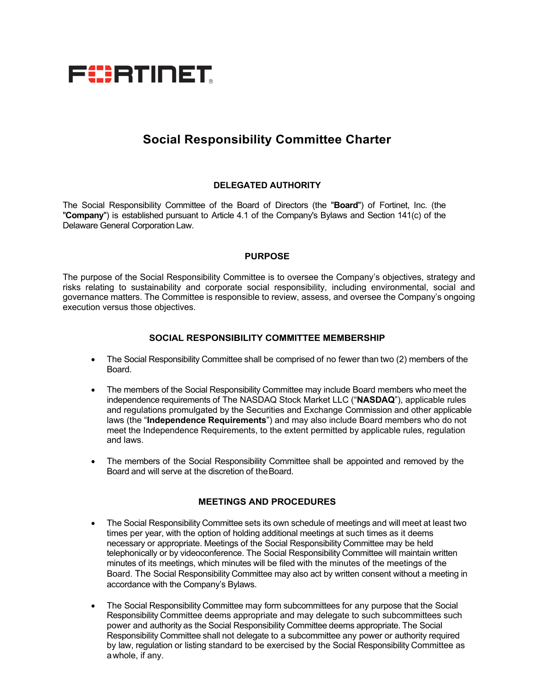

# **Social Responsibility Committee Charter**

## **DELEGATED AUTHORITY**

The Social Responsibility Committee of the Board of Directors (the "**Board**") of Fortinet, Inc. (the "**Company**") is established pursuant to Article 4.1 of the Company's Bylaws and Section 141(c) of the Delaware General Corporation Law.

### **PURPOSE**

The purpose of the Social Responsibility Committee is to oversee the Company's objectives, strategy and risks relating to sustainability and corporate social responsibility, including environmental, social and governance matters. The Committee is responsible to review, assess, and oversee the Company's ongoing execution versus those objectives.

### **SOCIAL RESPONSIBILITY COMMITTEE MEMBERSHIP**

- The Social Responsibility Committee shall be comprised of no fewer than two (2) members of the Board.
- The members of the Social Responsibility Committee may include Board members who meet the independence requirements of The NASDAQ Stock Market LLC ("**NASDAQ**"), applicable rules and regulations promulgated by the Securities and Exchange Commission and other applicable laws (the "**Independence Requirements**") and may also include Board members who do not meet the Independence Requirements, to the extent permitted by applicable rules, regulation and laws.
- The members of the Social Responsibility Committee shall be appointed and removed by the Board and will serve at the discretion of theBoard.

## **MEETINGS AND PROCEDURES**

- The Social Responsibility Committee sets its own schedule of meetings and will meet at least two times per year, with the option of holding additional meetings at such times as it deems necessary or appropriate. Meetings of the Social Responsibility Committee may be held telephonically or by videoconference. The Social Responsibility Committee will maintain written minutes of its meetings, which minutes will be filed with the minutes of the meetings of the Board. The Social Responsibility Committee may also act by written consent without a meeting in accordance with the Company's Bylaws.
- The Social Responsibility Committee may form subcommittees for any purpose that the Social Responsibility Committee deems appropriate and may delegate to such subcommittees such power and authority as the Social Responsibility Committee deems appropriate. The Social Responsibility Committee shall not delegate to a subcommittee any power or authority required by law, regulation or listing standard to be exercised by the Social Responsibility Committee as awhole, if any.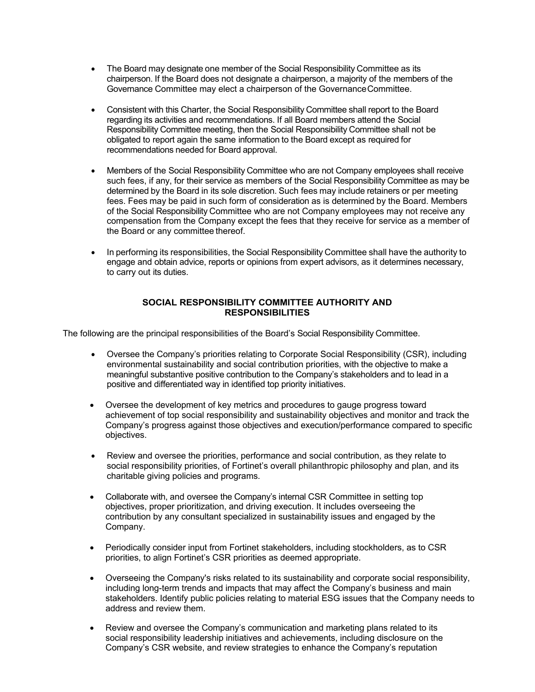- The Board may designate one member of the Social Responsibility Committee as its chairperson. If the Board does not designate a chairperson, a majority of the members of the Governance Committee may elect a chairperson of the GovernanceCommittee.
- Consistent with this Charter, the Social Responsibility Committee shall report to the Board regarding its activities and recommendations. If all Board members attend the Social Responsibility Committee meeting, then the Social Responsibility Committee shall not be obligated to report again the same information to the Board except as required for recommendations needed for Board approval.
- Members of the Social Responsibility Committee who are not Company employees shall receive such fees, if any, for their service as members of the Social Responsibility Committee as may be determined by the Board in its sole discretion. Such fees may include retainers or per meeting fees. Fees may be paid in such form of consideration as is determined by the Board. Members of the Social Responsibility Committee who are not Company employees may not receive any compensation from the Company except the fees that they receive for service as a member of the Board or any committee thereof.
- In performing its responsibilities, the Social Responsibility Committee shall have the authority to engage and obtain advice, reports or opinions from expert advisors, as it determines necessary, to carry out its duties.

## **SOCIAL RESPONSIBILITY COMMITTEE AUTHORITY AND RESPONSIBILITIES**

The following are the principal responsibilities of the Board's Social Responsibility Committee.

- Oversee the Company's priorities relating to Corporate Social Responsibility (CSR), including environmental sustainability and social contribution priorities, with the objective to make a meaningful substantive positive contribution to the Company's stakeholders and to lead in a positive and differentiated way in identified top priority initiatives.
- Oversee the development of key metrics and procedures to gauge progress toward achievement of top social responsibility and sustainability objectives and monitor and track the Company's progress against those objectives and execution/performance compared to specific objectives.
- Review and oversee the priorities, performance and social contribution, as they relate to social responsibility priorities, of Fortinet's overall philanthropic philosophy and plan, and its charitable giving policies and programs.
- Collaborate with, and oversee the Company's internal CSR Committee in setting top objectives, proper prioritization, and driving execution. It includes overseeing the contribution by any consultant specialized in sustainability issues and engaged by the Company.
- Periodically consider input from Fortinet stakeholders, including stockholders, as to CSR priorities, to align Fortinet's CSR priorities as deemed appropriate.
- Overseeing the Company's risks related to its sustainability and corporate social responsibility, including long-term trends and impacts that may affect the Company's business and main stakeholders. Identify public policies relating to material ESG issues that the Company needs to address and review them.
- Review and oversee the Company's communication and marketing plans related to its social responsibility leadership initiatives and achievements, including disclosure on the Company's CSR website, and review strategies to enhance the Company's reputation